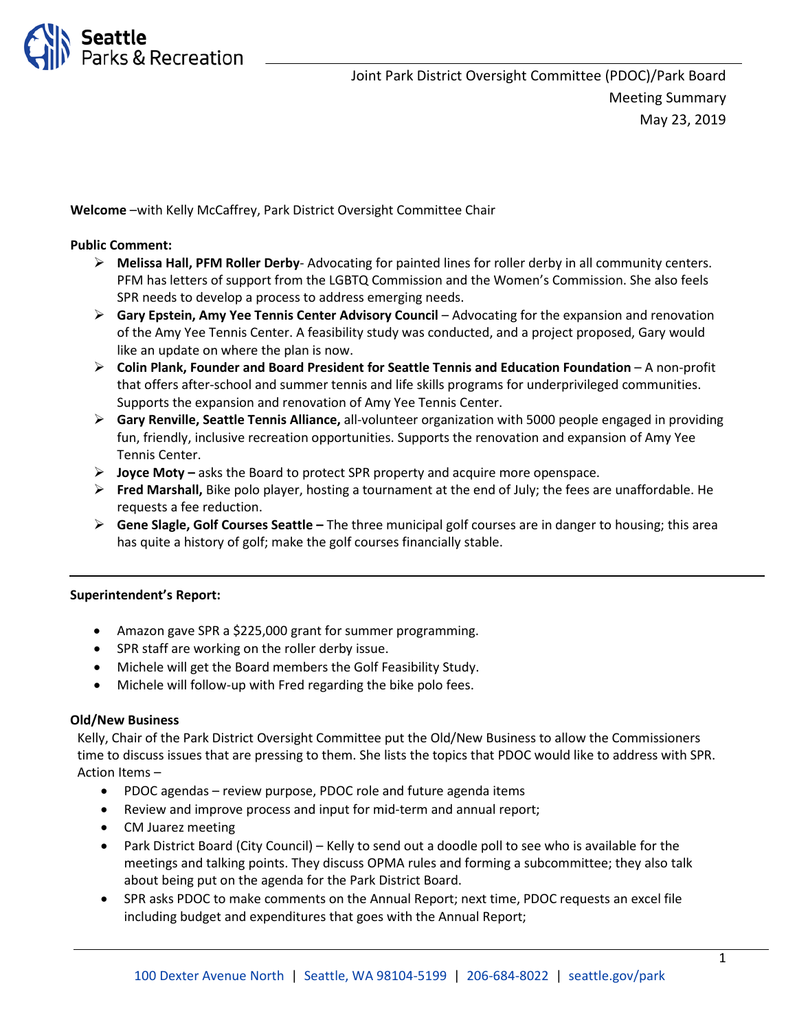

Joint Park District Oversight Committee (PDOC)/Park Board Meeting Summary May 23, 2019

**Welcome** –with Kelly McCaffrey, Park District Oversight Committee Chair

# **Public Comment:**

- **Melissa Hall, PFM Roller Derby** Advocating for painted lines for roller derby in all community centers. PFM has letters of support from the LGBTQ Commission and the Women's Commission. She also feels SPR needs to develop a process to address emerging needs.
- **Gary Epstein, Amy Yee Tennis Center Advisory Council**  Advocating for the expansion and renovation of the Amy Yee Tennis Center. A feasibility study was conducted, and a project proposed, Gary would like an update on where the plan is now.
- **Colin Plank, Founder and Board President for Seattle Tennis and Education Foundation**  A non-profit that offers after-school and summer tennis and life skills programs for underprivileged communities. Supports the expansion and renovation of Amy Yee Tennis Center.
- **Gary Renville, Seattle Tennis Alliance,** all-volunteer organization with 5000 people engaged in providing fun, friendly, inclusive recreation opportunities. Supports the renovation and expansion of Amy Yee Tennis Center.
- **Joyce Moty –** asks the Board to protect SPR property and acquire more openspace.
- **Fred Marshall,** Bike polo player, hosting a tournament at the end of July; the fees are unaffordable. He requests a fee reduction.
- **Gene Slagle, Golf Courses Seattle –** The three municipal golf courses are in danger to housing; this area has quite a history of golf; make the golf courses financially stable.

### **Superintendent's Report:**

- Amazon gave SPR a \$225,000 grant for summer programming.
- SPR staff are working on the roller derby issue.
- Michele will get the Board members the Golf Feasibility Study.
- Michele will follow-up with Fred regarding the bike polo fees.

### **Old/New Business**

Kelly, Chair of the Park District Oversight Committee put the Old/New Business to allow the Commissioners time to discuss issues that are pressing to them. She lists the topics that PDOC would like to address with SPR. Action Items –

- PDOC agendas review purpose, PDOC role and future agenda items
- Review and improve process and input for mid-term and annual report;
- CM Juarez meeting
- Park District Board (City Council) Kelly to send out a doodle poll to see who is available for the meetings and talking points. They discuss OPMA rules and forming a subcommittee; they also talk about being put on the agenda for the Park District Board.
- SPR asks PDOC to make comments on the Annual Report; next time, PDOC requests an excel file including budget and expenditures that goes with the Annual Report;